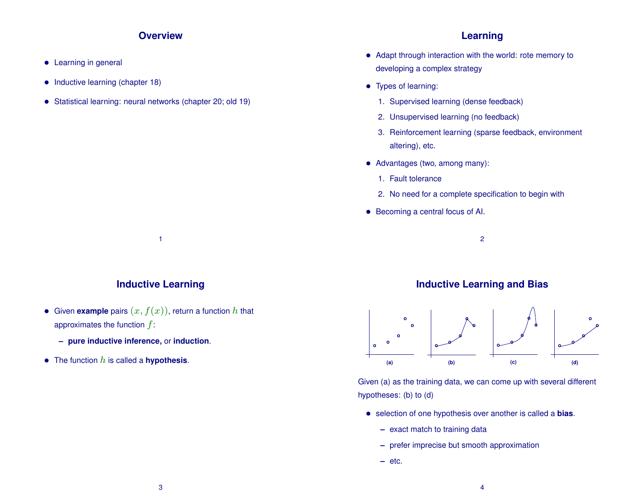#### **Overview**

- Learning in general
- Inductive learning (chapter 18)
- Statistical learning: neural networks (chapter 20; old 19)

#### **Learning**

- Adapt through interaction with the world: rote memory to developing a complex strategy
- Types of learning:
	- 1. Supervised learning (dense feedback)
	- 2. Unsupervised learning (no feedback)
	- 3. Reinforcement learning (sparse feedback, environment altering), etc.
- Advantages (two, among many):
	- 1. Fault tolerance
	- 2. No need for a complete specification to begin with
- Becoming a central focus of AI.
	- 2

## **Inductive Learning**

1

- Given **example** pairs  $(x, f(x))$ , return a function  $h$  that approximates the function  $f$ :
	- **– pure inductive inference,** or **induction**.
- $\bullet$  The function  $h$  is called a **hypothesis**.

#### **Inductive Learning and Bias**



Given (a) as the training data, we can come up with several different hypotheses: (b) to (d)

- selection of one hypothesis over another is called a **bias**.
	- **–** exact match to training data
	- **–** prefer imprecise but smooth approximation
	- **–** etc.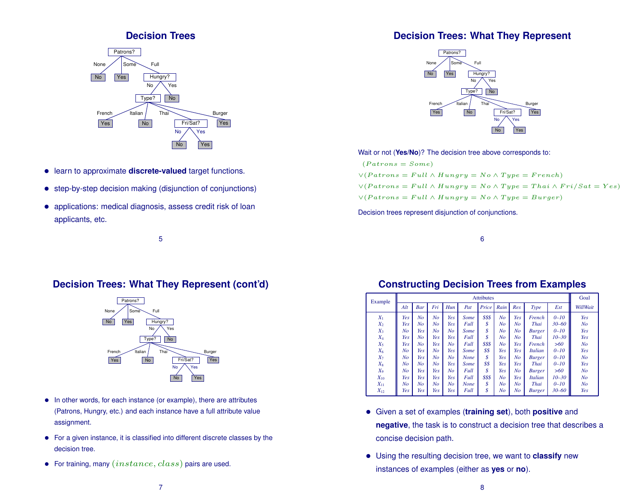#### **Decision Trees**



- learn to approximate **discrete-valued** target functions.
- step-by-step decision making (disjunction of conjunctions)
- applications: medical diagnosis, assess credit risk of loan applicants, etc.

5

#### **Decision Trees: What They Represent**



Wait or not (**Yes/No**)? The decision tree above corresponds to:

 $(Patrons = Some)$  $\vee (Patrons = Full \wedge Hungry = No \wedge Type = French)$  $\vee (Patrons = Full \wedge Hungry = No \wedge Type = Thai \wedge Fri/Sat = Yes)$ 

 $\vee (Patrons = Full \wedge Hungry = No \wedge Type = Burger)$ 

Decision trees represent disjunction of conjunctions.

6

#### **Decision Trees: What They Represent (cont'd)**

![](_page_1_Picture_14.jpeg)

- In other words, for each instance (or example), there are attributes (Patrons, Hungry, etc.) and each instance have a full attribute value assignment.
- For a given instance, it is classified into different discrete classes by the decision tree.
- For training, many  $(instance, class)$  pairs are used.

#### **Constructing Decision Trees from Examples**

| Example  |  | <b>Attributes</b> |                |                |     |             |                             |                |                |                |           |                |  |  |  |
|----------|--|-------------------|----------------|----------------|-----|-------------|-----------------------------|----------------|----------------|----------------|-----------|----------------|--|--|--|
|          |  | Alt               | <b>Bar</b>     | Fri            | Hun | Pat         | Price                       | Rain           | Res            | <b>Type</b>    | Est       | WillWait       |  |  |  |
| $X_1$    |  | Yes               | N <sub>o</sub> | N <sub>o</sub> | Yes | Some        | \$\$\$                      | No             | Yes            | French         | $0 - 10$  | Yes            |  |  |  |
| $X_2$    |  | Yes               | No             | No             | Yes | Full        | \$                          | No             | N <sub>o</sub> | Thai           | $30 - 60$ | No             |  |  |  |
| $X_3$    |  | No                | Yes            | N <sub>o</sub> | No  | Some        | \$                          | No             | N <sub>o</sub> | <b>Burger</b>  | $0 - 10$  | Yes            |  |  |  |
| $X_4$    |  | Yes               | No             | Yes            | Yes | Full        | $\mathcal{S}_{0}$           | No             | N <sub>o</sub> | Thai           | $10 - 30$ | Yes            |  |  |  |
| $X_5$    |  | Yes               | No             | Yes            | No  | Full        | \$\$\$                      | No             | Yes            | French         | >60       | No             |  |  |  |
| $X_6$    |  | No                | Yes            | N <sub>o</sub> | Yes | Some        | \$\$                        | Yes            | Yes            | <b>Italian</b> | $0 - 10$  | Yes            |  |  |  |
| $X_7$    |  | No                | Yes            | No             | No  | <b>None</b> | $\mathcal{S}_{\mathcal{S}}$ | Yes            | No             | <b>Burger</b>  | $0 - 10$  | No             |  |  |  |
| $X_8$    |  | No                | No             | N <sub>o</sub> | Yes | Some        | \$\$                        | Yes            | Yes            | Thai           | $0 - 10$  | Yes            |  |  |  |
| $X_9$    |  | No                | Yes            | Yes            | No  | Full        | \$                          | Yes            | No             | <b>Burger</b>  | >60       | No             |  |  |  |
| $X_{10}$ |  | Yes               | Yes            | Yes            | Yes | Full        | \$\$\$                      | N <sub>o</sub> | Yes            | <b>Italian</b> | $10 - 30$ | N <sub>O</sub> |  |  |  |
| $X_{11}$ |  | No                | No             | $N_{O}$        | No  | <b>None</b> | \$                          | No             | N <sub>o</sub> | Thai           | $0 - 10$  | N <sub>o</sub> |  |  |  |
| $X_{12}$ |  | Yes               | Yes            | Yes            | Yes | Full        | \$                          | No             | N <sub>O</sub> | <b>Burger</b>  | $30 - 60$ | Yes            |  |  |  |

- Given a set of examples (**training set**), both **positive** and **negative**, the task is to construct a decision tree that describes a concise decision path.
- Using the resulting decision tree, we want to **classify** new instances of examples (either as **yes** or **no**).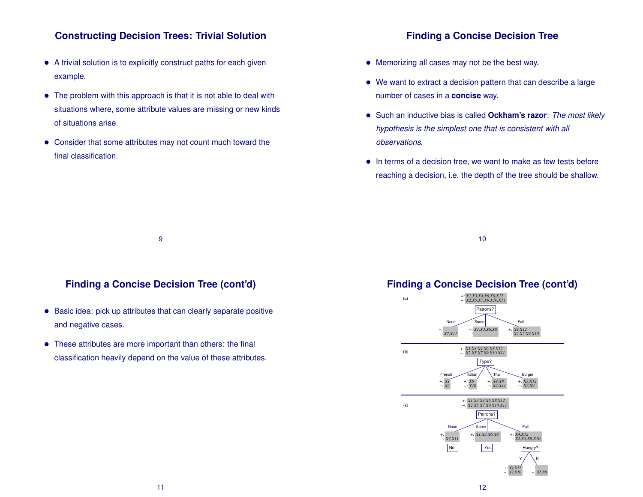#### **Constructing Decision Trees: Trivial Solution**

- A trivial solution is to explicitly construct paths for each given example.
- The problem with this approach is that it is not able to deal with situations where, some attribute values are missing or new kinds of situations arise.
- Consider that some attributes may not count much toward the final classification.

#### **Finding a Concise Decision Tree**

- Memorizing all cases may not be the best way.
- We want to extract a decision pattern that can describe a large number of cases in a **concise** way.
- Such an inductive bias is called **Ockham's razor**: *The most likely hypothesis is the simplest one that is consistent with all observations.*
- In terms of a decision tree, we want to make as few tests before reaching a decision, i.e. the depth of the tree should be shallow.

10

#### **Finding a Concise Decision Tree (cont'd)**

9

- Basic idea: pick up attributes that can clearly separate positive and negative cases.
- These attributes are more important than others: the final classification heavily depend on the value of these attributes.

#### **Finding a Concise Decision Tree (cont'd)**

![](_page_2_Figure_14.jpeg)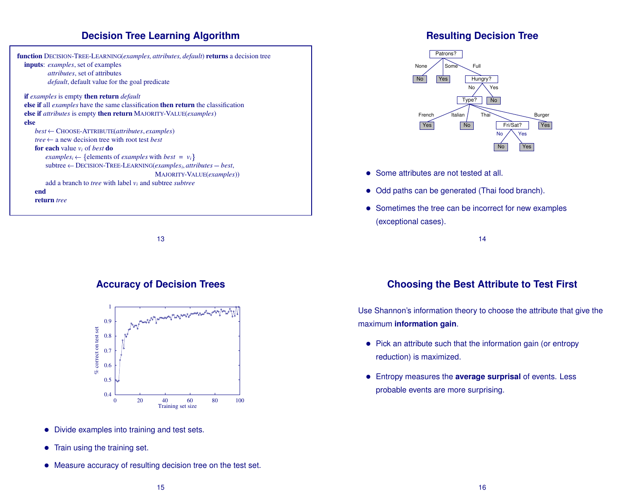#### **Decision Tree Learning Algorithm**

![](_page_3_Figure_1.jpeg)

13

#### **Accuracy of Decision Trees**

![](_page_3_Figure_4.jpeg)

- Divide examples into training and test sets.
- Train using the training set.
- Measure accuracy of resulting decision tree on the test set.

# **Resulting Decision Tree**

![](_page_3_Figure_9.jpeg)

- Some attributes are not tested at all.
- Odd paths can be generated (Thai food branch).
- Sometimes the tree can be incorrect for new examples (exceptional cases).

14

# **Choosing the Best Attribute to Test First**

Use Shannon's information theory to choose the attribute that give the maximum **information gain**.

- Pick an attribute such that the information gain (or entropy reduction) is maximized.
- Entropy measures the **average surprisal** of events. Less probable events are more surprising.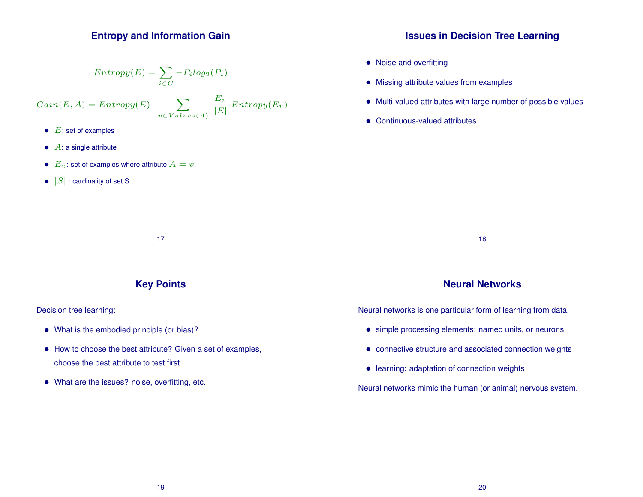#### **Entropy and Information Gain**

$$
Entropy(E) = \sum_{i \in C} -P_i log_2(P_i)
$$

 $Gain(E, A) = Entropy(E)$ -  $\sum$  $v\!\in\!Vales(A)$  $|E_v|$  $\frac{2|v|}{|E|} Entropy(E_v)$ 

- $\bullet$   $E$ : set of examples
- $\bullet$   $A$ : a single attribute
- $E_v$ : set of examples where attribute  $A = v$ .
- $|S|$ : cardinality of set S.

#### **Issues in Decision Tree Learning**

- Noise and overfitting
- Missing attribute values from examples
- Multi-valued attributes with large number of possible values
- Continuous-valued attributes.

18

#### **Key Points**

17

Decision tree learning:

- What is the embodied principle (or bias)?
- How to choose the best attribute? Given a set of examples, choose the best attribute to test first.
- What are the issues? noise, overfitting, etc.

#### **Neural Networks**

Neural networks is one particular form of learning from data.

- simple processing elements: named units, or neurons
- connective structure and associated connection weights
- learning: adaptation of connection weights

Neural networks mimic the human (or animal) nervous system.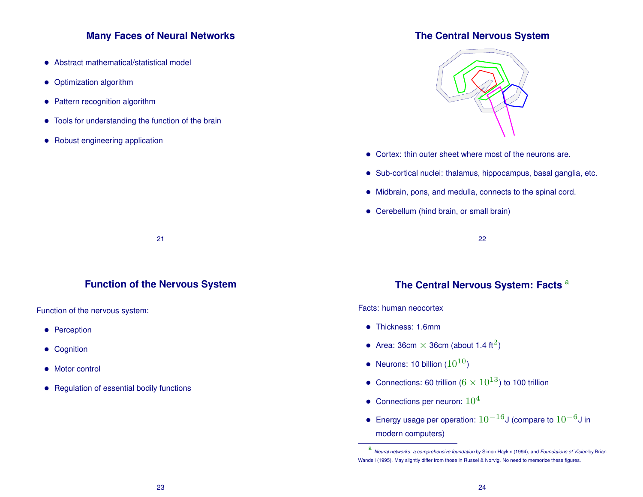#### **Many Faces of Neural Networks**

- Abstract mathematical/statistical model
- Optimization algorithm
- Pattern recognition algorithm
- Tools for understanding the function of the brain
- Robust engineering application

#### **The Central Nervous System**

![](_page_5_Picture_7.jpeg)

- Cortex: thin outer sheet where most of the neurons are.
- Sub-cortical nuclei: thalamus, hippocampus, basal ganglia, etc.
- Midbrain, pons, and medulla, connects to the spinal cord.
- Cerebellum (hind brain, or small brain)

22

#### **Function of the Nervous System**

21

Function of the nervous system:

- Perception
- Cognition
- Motor control
- Regulation of essential bodily functions

# **The Central Nervous System: Facts** <sup>a</sup>

#### Facts: human neocortex

- Thickness: 1.6mm
- Area: 36cm  $\times$  36cm (about 1.4 ft<sup>2</sup>)
- Neurons: 10 billion  $(10^{10})$
- Connections: 60 trillion ( $6 \times 10^{13}$ ) to 100 trillion
- Connections per neuron:  $10^4$
- Energy usage per operation:  $10^{-16}$ J (compare to  $10^{-6}$ J in modern computers)

a *Neural networks: a comprehensive foundation* by Simon Haykin (1994), and *Foundations of Vision* by Brian Wandell (1995). May slightly differ from those in Russel & Norvig. No need to memorize these figures.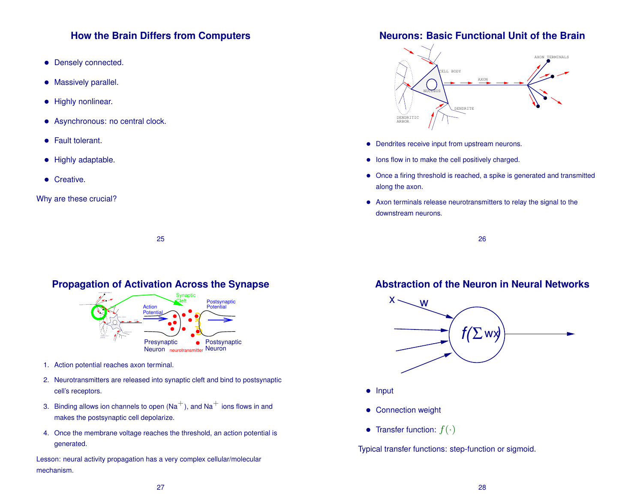### **How the Brain Differs from Computers**

- Densely connected.
- Massively parallel.
- Highly nonlinear.
- Asynchronous: no central clock.
- Fault tolerant.
- Highly adaptable.
- **•** Creative.

Why are these crucial?

**Neurons: Basic Functional Unit of the Brain**

![](_page_6_Figure_10.jpeg)

- Dendrites receive input from upstream neurons.
- Ions flow in to make the cell positively charged.
- Once a firing threshold is reached, a spike is generated and transmitted along the axon.
- Axon terminals release neurotransmitters to relay the signal to the downstream neurons.

26

# **Abstraction of the Neuron in Neural Networks**

![](_page_6_Figure_17.jpeg)

- Input
- Connection weight
- Transfer function:  $f(\cdot)$

Typical transfer functions: step-function or sigmoid.

25

## **Propagation of Activation Across the Synapse**

![](_page_6_Figure_24.jpeg)

- 1. Action potential reaches axon terminal.
- 2. Neurotransmitters are released into synaptic cleft and bind to postsynaptic cell's receptors.
- 3. Binding allows ion channels to open  $(Na<sup>+</sup>)$ , and  $Na<sup>+</sup>$  ions flows in and makes the postsynaptic cell depolarize.
- 4. Once the membrane voltage reaches the threshold, an action potential is generated.

Lesson: neural activity propagation has a very complex cellular/molecular mechanism.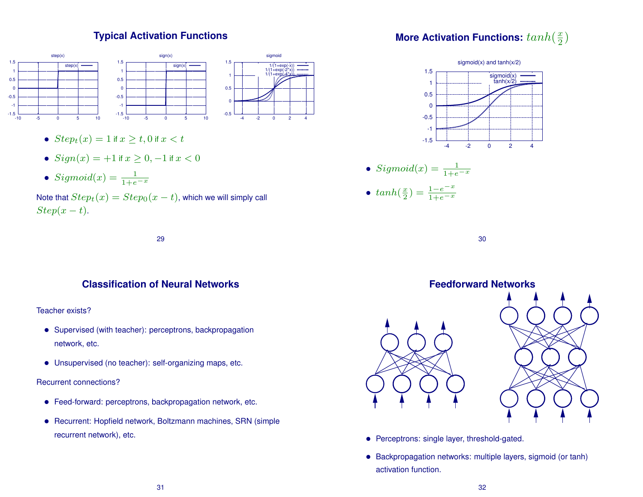# **Typical Activation Functions**

![](_page_7_Figure_1.jpeg)

- $Step<sub>t</sub>(x) = 1$  if  $x > t$ , 0 if  $x < t$
- $Sign(x) = +1$  if  $x \ge 0, -1$  if  $x < 0$
- Sigmoid $(x) = \frac{1}{1+e^{-x}}$

Note that  $Step_t(x) = Step_0(x - t)$ , which we will simply call  $Step(x - t).$ 

29

# **Classification of Neural Networks**

#### Teacher exists?

- Supervised (with teacher): perceptrons, backpropagation network, etc.
- Unsupervised (no teacher): self-organizing maps, etc.

#### Recurrent connections?

- Feed-forward: perceptrons, backpropagation network, etc.
- Recurrent: Hopfield network, Boltzmann machines, SRN (simple recurrent network), etc.

![](_page_7_Figure_14.jpeg)

![](_page_7_Figure_15.jpeg)

• 
$$
Sigmoid(x) = \frac{1}{1+e^{-x}}
$$

•  $tanh(\frac{x}{2})$  $\frac{x}{2}$ ) =  $\frac{1-e^{-x}}{1+e^{-x}}$  $1+e^{-x}$ 

30

![](_page_7_Figure_19.jpeg)

- Perceptrons: single layer, threshold-gated.
- Backpropagation networks: multiple layers, sigmoid (or tanh) activation function.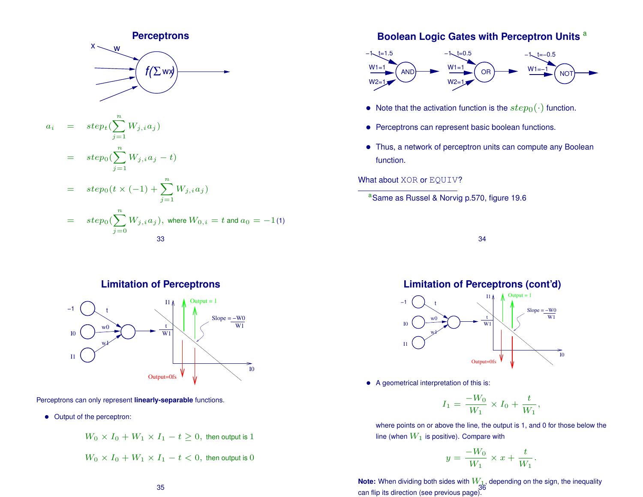![](_page_8_Figure_0.jpeg)

#### **Boolean Logic Gates with Perceptron Units** <sup>a</sup>

![](_page_8_Figure_2.jpeg)

- Note that the activation function is the  $step_0(\cdot)$  function.
- Perceptrons can represent basic boolean functions.
- Thus, a network of perceptron units can compute any Boolean function.

#### What about XOR or EQUIV?

<sup>a</sup>Same as Russel & Norvig p.570, figure 19.6

34

**Limitation of Perceptrons**

![](_page_8_Figure_10.jpeg)

Perceptrons can only represent **linearly-separable** functions.

• Output of the perceptron:

 $W_0 \times I_0 + W_1 \times I_1 - t \geq 0$ , then output is 1

$$
W_0 \times I_0 + W_1 \times I_1 - t < 0, \text{ then output is } 0
$$

# **Limitation of Perceptrons (cont'd)**

![](_page_8_Figure_17.jpeg)

• A geometrical interpretation of this is:

$$
I_1 = \frac{-W_0}{W_1} \times I_0 + \frac{t}{W_1},
$$

where points on or above the line, the output is 1, and 0 for those below the line (when  $W_1$  is positive). Compare with

$$
y = \frac{-W_0}{W_1} \times x + \frac{t}{W_1}
$$

.

**Note:** When dividing both sides with  $W_{1}$ , depending on the sign, the inequality can flip its direction (see previous page).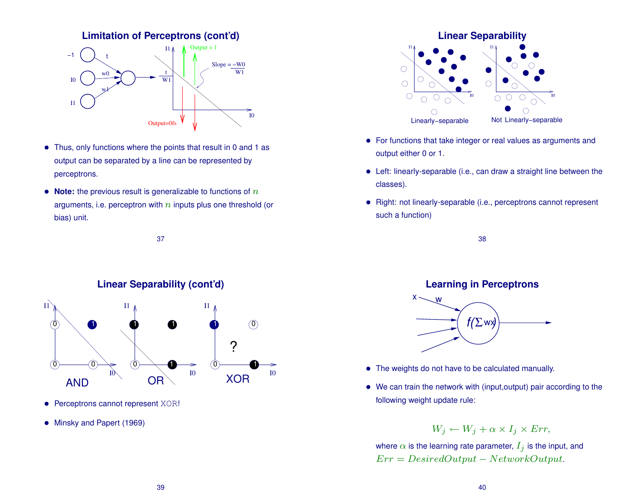![](_page_9_Figure_0.jpeg)

- Thus, only functions where the points that result in 0 and 1 as output can be separated by a line can be represented by perceptrons.
- **Note:** the previous result is generalizable to functions of  $n$ arguments, i.e. perceptron with  $n$  inputs plus one threshold (or bias) unit.

37

![](_page_9_Figure_4.jpeg)

- Perceptrons cannot represent XOR!
- Minsky and Papert (1969)

![](_page_9_Figure_7.jpeg)

- For functions that take integer or real values as arguments and output either 0 or 1.
- Left: linearly-separable (i.e., can draw a straight line between the classes).
- Right: not linearly-separable (i.e., perceptrons cannot represent such a function)

38

## **Learning in Perceptrons**

![](_page_9_Figure_13.jpeg)

- The weights do not have to be calculated manually.
- We can train the network with (input, output) pair according to the following weight update rule:

$$
W_j \leftarrow W_j + \alpha \times I_j \times Err,
$$

where  $\alpha$  is the learning rate parameter,  $I_j$  is the input, and  $Err = DesignedOutput - NetworkOutput.$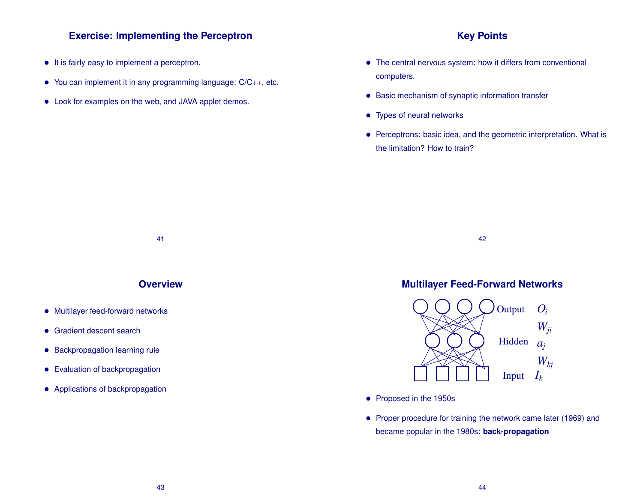#### **Exercise: Implementing the Perceptron**

- It is fairly easy to implement a perceptron.
- You can implement it in any programming language: C/C++, etc.
- Look for examples on the web, and JAVA applet demos.

#### **Key Points**

- The central nervous system: how it differs from conventional computers.
- Basic mechanism of synaptic information transfer
- Types of neural networks
- Perceptrons: basic idea, and the geometric interpretation. What is the limitation? How to train?

41

#### **Overview**

- Multilayer feed-forward networks
- Gradient descent search
- Backpropagation learning rule
- Evaluation of backpropagation
- Applications of backpropagation

#### 42

## **Multilayer Feed-Forward Networks**

![](_page_10_Figure_18.jpeg)

- Proposed in the 1950s
- Proper procedure for training the network came later (1969) and became popular in the 1980s: **back-propagation**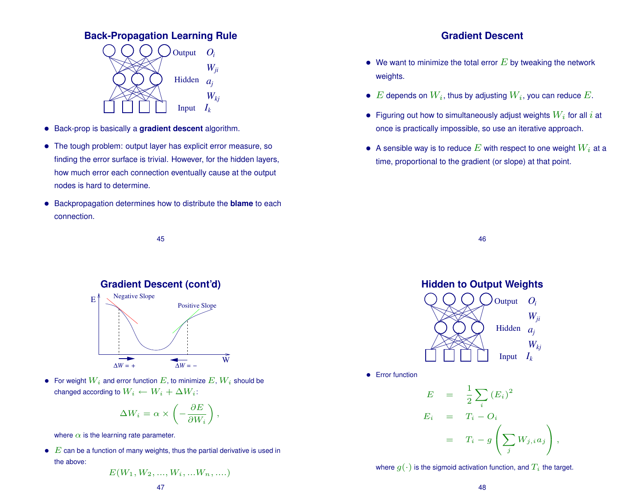#### **Back-Propagation Learning Rule**

![](_page_11_Figure_1.jpeg)

- Back-prop is basically a **gradient descent** algorithm.
- The tough problem: output layer has explicit error measure, so finding the error surface is trivial. However, for the hidden layers, how much error each connection eventually cause at the output nodes is hard to determine.
- Backpropagation determines how to distribute the **blame** to each connection.

45

![](_page_11_Figure_5.jpeg)

• For weight  $W_i$  and error function  $E$ , to minimize  $E, W_i$  should be changed according to  $W_i \leftarrow W_i + \Delta W_i$ :

$$
\Delta W_i = \alpha \times \left( -\frac{\partial E}{\partial W_i} \right),
$$

where  $\alpha$  is the learning rate parameter.

 $\bullet$   $E$  can be a function of many weights, thus the partial derivative is used in the above:

$$
E(W_1, W_2, ..., W_i, ...W_n, ...)
$$

# 47

### **Gradient Descent**

- We want to minimize the total error  $E$  by tweaking the network weights.
- E depends on  $W_i$ , thus by adjusting  $W_i$ , you can reduce E.
- Figuring out how to simultaneously adjust weights  $W_i$  for all i at once is practically impossible, so use an iterative approach.
- A sensible way is to reduce  $E$  with respect to one weight  $W_i$  at a time, proportional to the gradient (or slope) at that point.

46

![](_page_11_Figure_18.jpeg)

where  $q(\cdot)$  is the sigmoid activation function, and  $T_i$  the target.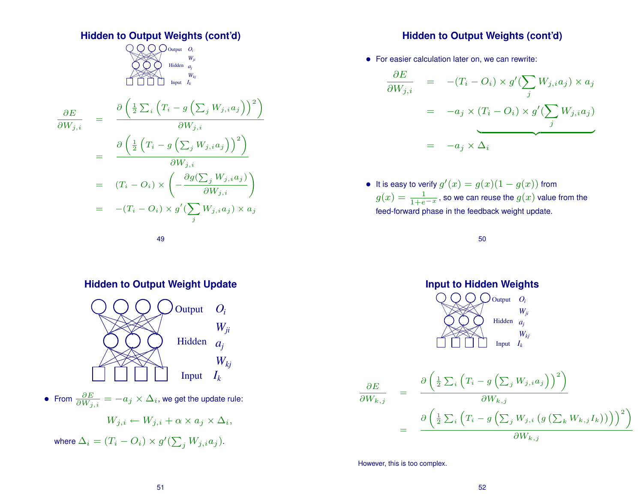**Hidden to Output Weights (cont'd)**  
\n
$$
\bigotimes_{W_{ji}} Q_{\text{Ooutput } D_i}
$$
\n
$$
\bigotimes_{W_{ji}} W_{W_{ij}}
$$
\n
$$
\frac{\partial E}{\partial W_{j,i}} = \frac{\partial \left( \frac{1}{2} \sum_i \left( T_i - g \left( \sum_j W_{j,i} a_j \right) \right)^2 \right)}{\partial W_{j,i}}
$$
\n
$$
= \frac{\partial \left( \frac{1}{2} \left( T_i - g \left( \sum_j W_{j,i} a_j \right) \right)^2 \right)}{\partial W_{j,i}}
$$
\n
$$
= (T_i - O_i) \times \left( -\frac{\partial g(\sum_j W_{j,i} a_j)}{\partial W_{j,i}} \right)
$$
\n
$$
= -(T_i - O_i) \times g'(\sum_j W_{j,i} a_j) \times a_j
$$

**Hidden to Output Weights (cont'd)**

• For easier calculation later on, we can rewrite:

$$
\frac{\partial E}{\partial W_{j,i}} = -(T_i - O_i) \times g'(\sum_j W_{j,i} a_j) \times a_j
$$

$$
= -a_j \times (T_i - O_i) \times g'(\sum_j W_{j,i} a_j)
$$

$$
= -a_j \times \Delta_i
$$

• It is easy to verify  $g'(x) = g(x)(1 - g(x))$  from  $g(x)=\frac{1}{1+e^{-x}}$ , so we can reuse the  $g(x)$  value from the feed-forward phase in the feedback weight update.

50

![](_page_12_Figure_6.jpeg)

However, this is too complex.

#### **Hidden to Output Weight Update**

49

![](_page_12_Figure_9.jpeg)

 $\bullet \,\,$  From  $\frac{\partial E}{\partial W_{j,i}} = -a_j \times \Delta_i,$  we get the update rule:

$$
W_{j,i} \leftarrow W_{j,i} + \alpha \times a_j \times \Delta_i,
$$

where  $\Delta_i = (T_i - O_i) \times g'(\sum_j W_{j,i}a_j).$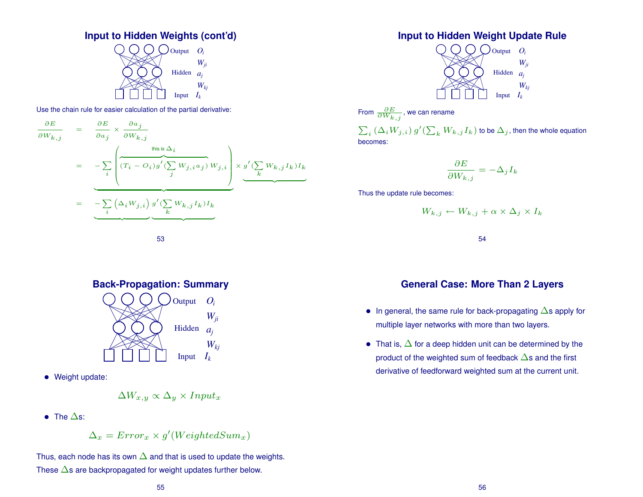![](_page_13_Figure_0.jpeg)

![](_page_13_Figure_1.jpeg)

Use the chain rule for easier calculation of the partial derivative:

$$
\frac{\partial E}{\partial W_{k,j}} = \frac{\partial E}{\partial a_j} \times \frac{\partial a_j}{\partial W_{k,j}}
$$
\n
$$
= - \sum_i \left( \underbrace{(T_i - O_i)g'(\sum_j W_{j,i} a_j)}_{j} W_{j,i} \right) \times \underbrace{g'(\sum_k W_{k,j} I_k) I_k}_{k}
$$
\n
$$
= - \sum_i \left( \Delta_i W_{j,i} \right) g'(\sum_k W_{k,j} I_k) I_k
$$

![](_page_13_Figure_4.jpeg)

![](_page_13_Figure_5.jpeg)

• Weight update:

$$
\Delta W_{x,y} \propto \Delta_y \times Input_x
$$

• The  $\Delta$ s:

 $\Delta_x = Error_x \times g'(WeightedSum_x)$ 

Thus, each node has its own  $\Delta$  and that is used to update the weights. These  $\Delta$ s are backpropagated for weight updates further below.

#### **Input to Hidden Weight Update Rule**

![](_page_13_Figure_12.jpeg)

From 
$$
\frac{\partial E}{\partial W_{k,j}}
$$
, we can rename

 $\sum_i \left( \Delta_i W_{j,i} \right) g'(\sum_k W_{k,j} I_k)$  to be  $\Delta_j$  , then the whole equation becomes:

$$
\frac{\partial E}{\partial W_{k,\,j}} = - \Delta_j I_k
$$

Thus the update rule becomes:

$$
W_{k,j} \leftarrow W_{k,j} + \alpha \times \Delta_j \times I_k
$$

54

## **General Case: More Than 2 Layers**

- In general, the same rule for back-propagating  $\Delta$ s apply for multiple layer networks with more than two layers.
- That is,  $\Delta$  for a deep hidden unit can be determined by the product of the weighted sum of feedback ∆s and the first derivative of feedforward weighted sum at the current unit.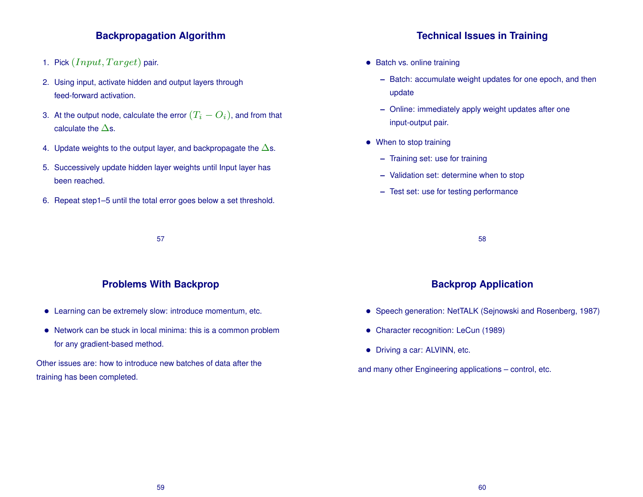## **Backpropagation Algorithm**

- 1. Pick  $(Input, Target)$  pair.
- 2. Using input, activate hidden and output layers through feed-forward activation.
- 3. At the output node, calculate the error  $(T_i O_i)$ , and from that calculate the  $\Delta$ s.
- 4. Update weights to the output layer, and backpropagate the  $\Delta s$ .
- 5. Successively update hidden layer weights until Input layer has been reached.
- 6. Repeat step1–5 until the total error goes below a set threshold.

57

#### **Problems With Backprop**

- Learning can be extremely slow: introduce momentum, etc.
- Network can be stuck in local minima: this is a common problem for any gradient-based method.

Other issues are: how to introduce new batches of data after the training has been completed.

#### **Technical Issues in Training**

- Batch vs. online training
	- **–** Batch: accumulate weight updates for one epoch, and then update
	- **–** Online: immediately apply weight updates after one input-output pair.
- When to stop training
	- **–** Training set: use for training
	- **–** Validation set: determine when to stop
	- **–** Test set: use for testing performance

58

#### **Backprop Application**

- Speech generation: NetTALK (Sejnowski and Rosenberg, 1987)
- Character recognition: LeCun (1989)
- Driving a car: ALVINN, etc.

and many other Engineering applications – control, etc.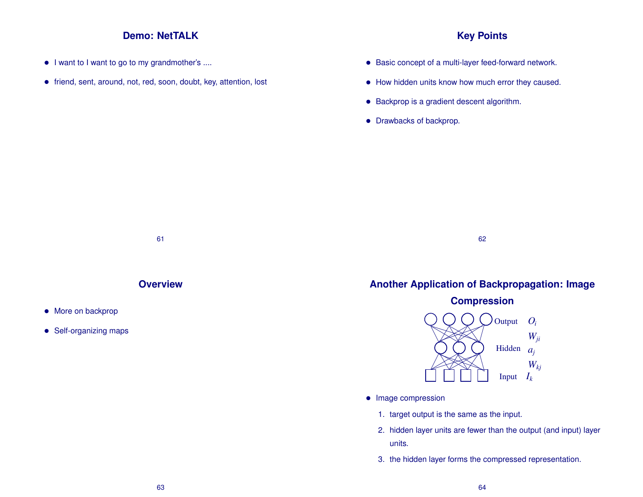#### **Demo: NetTALK**

- I want to I want to go to my grandmother's ....
- friend, sent, around, not, red, soon, doubt, key, attention, lost

### **Key Points**

- Basic concept of a multi-layer feed-forward network.
- How hidden units know how much error they caused.
- Backprop is a gradient descent algorithm.
- Drawbacks of backprop.

![](_page_15_Figure_8.jpeg)

**Overview**

- More on backprop
- Self-organizing maps

# **Another Application of Backpropagation: Image**

62

![](_page_15_Figure_13.jpeg)

- Image compression
	- 1. target output is the same as the input.
	- 2. hidden layer units are fewer than the output (and input) layer units.
	- 3. the hidden layer forms the compressed representation.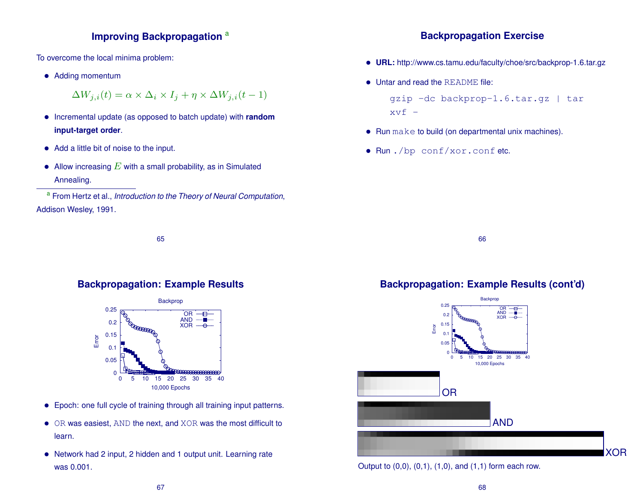## **Improving Backpropagation** a

To overcome the local minima problem:

• Adding momentum

$$
\Delta W_{j,i}(t) = \alpha \times \Delta_i \times I_j + \eta \times \Delta W_{j,i}(t-1)
$$

- Incremental update (as opposed to batch update) with **random input-target order**.
- Add a little bit of noise to the input.
- Allow increasing  $E$  with a small probability, as in Simulated Annealing.

a From Hertz et al., *Introduction to the Theory of Neural Computation*, Addison Wesley, 1991.

65

#### **Backpropagation: Example Results**

![](_page_16_Figure_10.jpeg)

- Epoch: one full cycle of training through all training input patterns.
- OR was easiest, AND the next, and XOR was the most difficult to learn.
- Network had 2 input, 2 hidden and 1 output unit. Learning rate was 0.001.

#### **Backpropagation Exercise**

- **URL:** http://www.cs.tamu.edu/faculty/choe/src/backprop-1.6.tar.gz
- Untar and read the README file:

gzip -dc backprop-1.6.tar.gz | tar  $xvf -$ 

- Run make to build (on departmental unix machines).
- Run ./bp conf/xor.conf etc.

66

# **Backpropagation: Example Results (cont'd)**

![](_page_16_Figure_22.jpeg)

Output to  $(0,0)$ ,  $(0,1)$ ,  $(1,0)$ , and  $(1,1)$  form each row.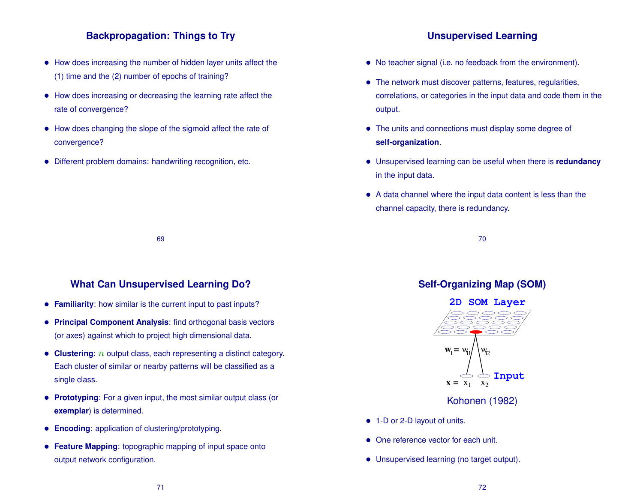## **Backpropagation: Things to Try**

- How does increasing the number of hidden layer units affect the (1) time and the (2) number of epochs of training?
- How does increasing or decreasing the learning rate affect the rate of convergence?
- How does changing the slope of the sigmoid affect the rate of convergence?
- Different problem domains: handwriting recognition, etc.

# **Unsupervised Learning**

- No teacher signal (i.e. no feedback from the environment).
- The network must discover patterns, features, regularities, correlations, or categories in the input data and code them in the output.
- The units and connections must display some degree of **self-organization**.
- Unsupervised learning can be useful when there is **redundancy** in the input data.
- A data channel where the input data content is less than the channel capacity, there is redundancy.

70

#### **What Can Unsupervised Learning Do?**

69

- **Familiarity**: how similar is the current input to past inputs?
- **Principal Component Analysis**: find orthogonal basis vectors (or axes) against which to project high dimensional data.
- **Clustering**: *n* output class, each representing a distinct category. Each cluster of similar or nearby patterns will be classified as a single class.
- **Prototyping**: For a given input, the most similar output class (or **exemplar**) is determined.
- **Encoding**: application of clustering/prototyping.
- **Feature Mapping**: topographic mapping of input space onto output network configuration.

# **Self-Organizing Map (SOM)**

![](_page_17_Figure_20.jpeg)

Kohonen (1982)

- 1-D or 2-D layout of units.
- One reference vector for each unit.
- Unsupervised learning (no target output).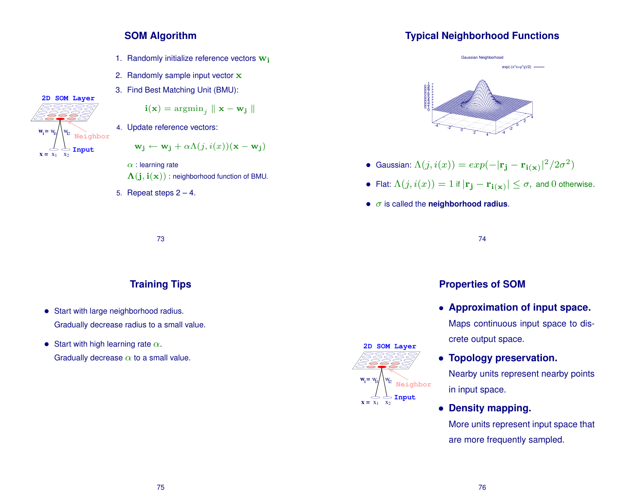#### **SOM Algorithm**

- 1. Randomly initialize reference vectors  $\mathbf{w}_i$
- 2. Randomly sample input vector x
- 3. Find Best Matching Unit (BMU):

$$
\begin{aligned}\n\mathbf{i}(\mathbf{x}) &= \operatorname{argmin}_j \|\mathbf{x} - \mathbf{w}_j\| \\
\end{aligned}
$$
\n4. Update reference vectors:

 $\mathbf{x} = \mathbf{x}_1 \quad \mathbf{x}_2$ 

 $\mathbf{w}_i = \mathbf{w}_i$ 

 $1 \quad X_2$ 

 $W_{12}$ 

**Input Neighbor**

**2D SOM Layer**

$$
\mathbf{w_j} \leftarrow \mathbf{w_j} + \alpha \Lambda(j, i(x))(\mathbf{x} - \mathbf{w_j})
$$

 $\alpha$  : learning rate  $\Lambda(j, i(x))$ : neighborhood function of BMU.

5. Repeat steps  $2 - 4$ .

# **Typical Neighborhood Functions**

![](_page_18_Figure_10.jpeg)

- Gaussian:  $\Lambda(j,i(x)) = exp(-|\mathbf{r_j} \mathbf{r_{i(x)}}|^2/2\sigma^2)$
- Flat:  $\Lambda(j,i(x)) = 1$  if  $|\mathbf{r_j} \mathbf{r_i}(\mathbf{x})| \leq \sigma$ , and 0 otherwise.
- σ is called the **neighborhood radius**.

73

# **Training Tips**

- Start with large neighborhood radius. Gradually decrease radius to a small value.
- Start with high learning rate  $\alpha$ . Gradually decrease  $\alpha$  to a small value.

### $\mathbf{x} = \mathbf{x}_1 \quad \mathbf{x}_2$ w 2 **Neighbor**  $1 \quad X_2$  $W_i =$ **2D SOM Layer Input**

#### **Properties of SOM**

74

- **Approximation of input space.** Maps continuous input space to discrete output space.
- **Topology preservation.** Nearby units represent nearby points in input space.
- **Density mapping.**

More units represent input space that are more frequently sampled.

75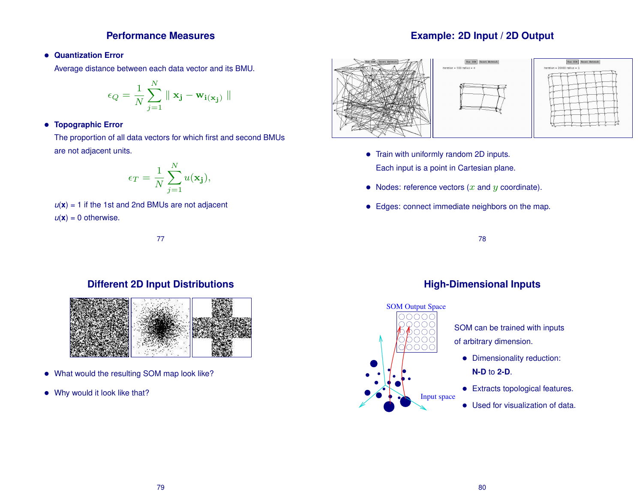#### **Performance Measures**

#### • **Quantization Error**

Average distance between each data vector and its BMU.

$$
\epsilon_Q = \frac{1}{N} \sum_{j=1}^N \parallel \mathbf{x_j} - \mathbf{w_{i(x_j)}} \parallel
$$

#### • **Topographic Error**

The proportion of all data vectors for which first and second BMUs are not adjacent units.

$$
\epsilon_T = \frac{1}{N} \sum_{j=1}^{N} u(\mathbf{x_j}),
$$

 $u(x) = 1$  if the 1st and 2nd BMUs are not adjacent

 $u(\mathbf{x}) = 0$  otherwise.

![](_page_19_Figure_9.jpeg)

#### **Different 2D Input Distributions**

![](_page_19_Picture_11.jpeg)

- What would the resulting SOM map look like?
- Why would it look like that?

# **Example: 2D Input / 2D Output**

![](_page_19_Figure_15.jpeg)

- Train with uniformly random 2D inputs. Each input is a point in Cartesian plane.
- Nodes: reference vectors  $(x \text{ and } y \text{ coordinate})$ .
- Edges: connect immediate neighbors on the map.

78

![](_page_19_Figure_20.jpeg)

# **High-Dimensional Inputs**

- SOM can be trained with inputs of arbitrary dimension.
	- Dimensionality reduction: **N-D** to **2-D**.
	- Extracts topological features.
	- Used for visualization of data.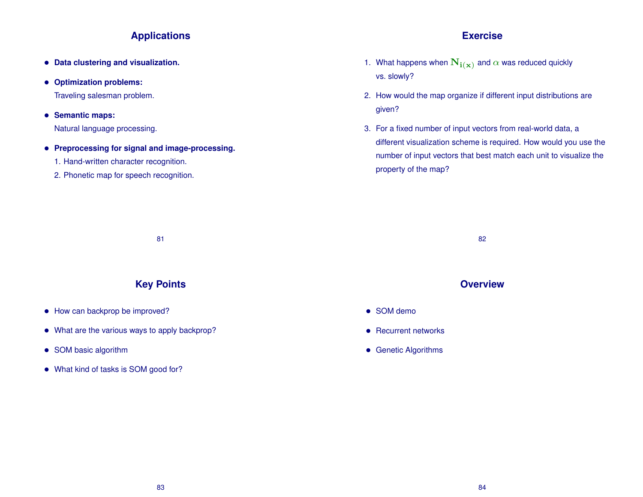## **Applications**

- **Data clustering and visualization.**
- **Optimization problems:**

Traveling salesman problem.

• **Semantic maps:**

Natural language processing.

- **Preprocessing for signal and image-processing.**
	- 1. Hand-written character recognition.
	- 2. Phonetic map for speech recognition.

# **Exercise**

- 1. What happens when  $\mathbf{N_{i(x)}}$  and  $\alpha$  was reduced quickly vs. slowly?
- 2. How would the map organize if different input distributions are given?
- 3. For a fixed number of input vectors from real-world data, a different visualization scheme is required. How would you use the number of input vectors that best match each unit to visualize the property of the map?

81

# **Key Points**

- How can backprop be improved?
- What are the various ways to apply backprop?
- SOM basic algorithm
- What kind of tasks is SOM good for?

82

# **Overview**

- SOM demo
- Recurrent networks
- Genetic Algorithms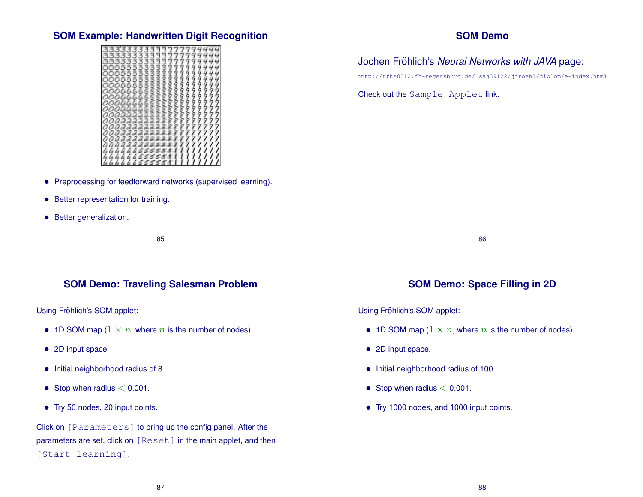### **SOM Example: Handwritten Digit Recognition**

- Preprocessing for feedforward networks (supervised learning).
- Better representation for training.
- Better generalization.

85

#### **SOM Demo: Traveling Salesman Problem**

Using Fröhlich's SOM applet:

- 1D SOM map  $(1 \times n$ , where *n* is the number of nodes).
- 2D input space.
- Initial neighborhood radius of 8.
- Stop when radius  $< 0.001$ .
- Try 50 nodes, 20 input points.

Click on [Parameters] to bring up the config panel. After the parameters are set, click on [Reset] in the main applet, and then [Start learning].

#### **SOM Demo**

## Jochen Fröhlich's Neural Networks with JAVA page:

http://rfhs8012.fh-regensburg.de/ saj39122/jfroehl/diplom/e-index.html

Check out the Sample Applet link.

86

## **SOM Demo: Space Filling in 2D**

Using Fröhlich's SOM applet:

- 1D SOM map  $(1 \times n)$ , where *n* is the number of nodes).
- 2D input space.
- Initial neighborhood radius of 100.
- Stop when radius  $< 0.001$ .
- Try 1000 nodes, and 1000 input points.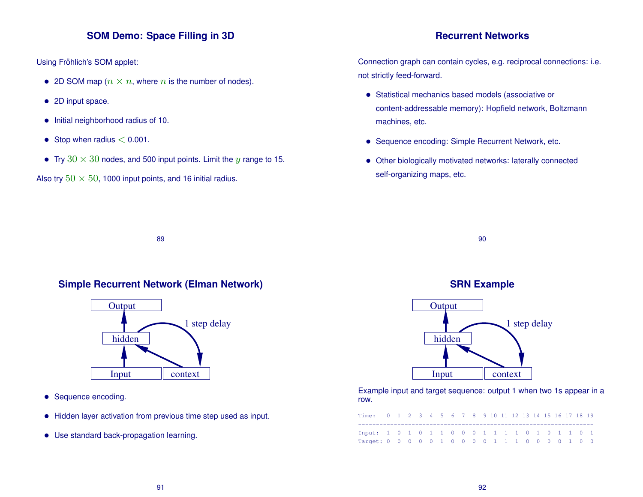## **SOM Demo: Space Filling in 3D**

Using Fröhlich's SOM applet:

- 2D SOM map  $(n \times n)$ , where n is the number of nodes).
- 2D input space.
- Initial neighborhood radius of 10.
- Stop when radius  $< 0.001$ .
- Try  $30 \times 30$  nodes, and 500 input points. Limit the y range to 15.

Also try  $50 \times 50$ , 1000 input points, and 16 initial radius.

#### **Recurrent Networks**

Connection graph can contain cycles, e.g. reciprocal connections: i.e. not strictly feed-forward.

- Statistical mechanics based models (associative or content-addressable memory): Hopfield network, Boltzmann machines, etc.
- Sequence encoding: Simple Recurrent Network, etc.
- Other biologically motivated networks: laterally connected self-organizing maps, etc.

89

#### **Simple Recurrent Network (Elman Network)**

![](_page_22_Figure_15.jpeg)

- Sequence encoding.
- Hidden layer activation from previous time step used as input.
- Use standard back-propagation learning.

![](_page_22_Figure_19.jpeg)

90

![](_page_22_Figure_20.jpeg)

Example input and target sequence: output 1 when two 1s appear in a row.

| Time: 0 1 2 3 4 5 6 7 8 9 10 11 12 13 14 15 16 17 18 19 |  |  |  |  |  |  |  |  |  |  |
|---------------------------------------------------------|--|--|--|--|--|--|--|--|--|--|
|                                                         |  |  |  |  |  |  |  |  |  |  |
| Input: 1 0 1 0 1 1 0 0 0 1 1 1 1 0 1 0 1 1 0 1          |  |  |  |  |  |  |  |  |  |  |
| Target: 0 0 0 0 0 1 0 0 0 0 1 1 1 0 0 0 0 1 0 0         |  |  |  |  |  |  |  |  |  |  |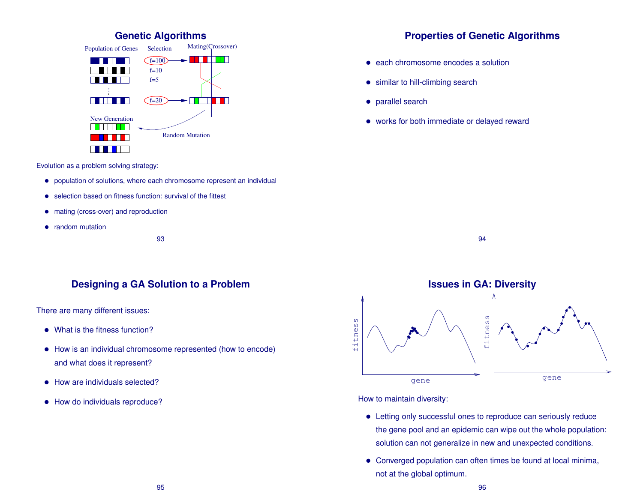![](_page_23_Figure_0.jpeg)

Evolution as a problem solving strategy:

- population of solutions, where each chromosome represent an individual
- selection based on fitness function: survival of the fittest
- mating (cross-over) and reproduction
- random mutation

93

#### **Designing a GA Solution to a Problem**

There are many different issues:

- What is the fitness function?
- How is an individual chromosome represented (how to encode) and what does it represent?
- How are individuals selected?
- How do individuals reproduce?

## **Properties of Genetic Algorithms**

- each chromosome encodes a solution
- similar to hill-climbing search
- parallel search
- works for both immediate or delayed reward

![](_page_23_Figure_18.jpeg)

![](_page_23_Figure_19.jpeg)

How to maintain diversity:

- Letting only successful ones to reproduce can seriously reduce the gene pool and an epidemic can wipe out the whole population: solution can not generalize in new and unexpected conditions.
- Converged population can often times be found at local minima, not at the global optimum.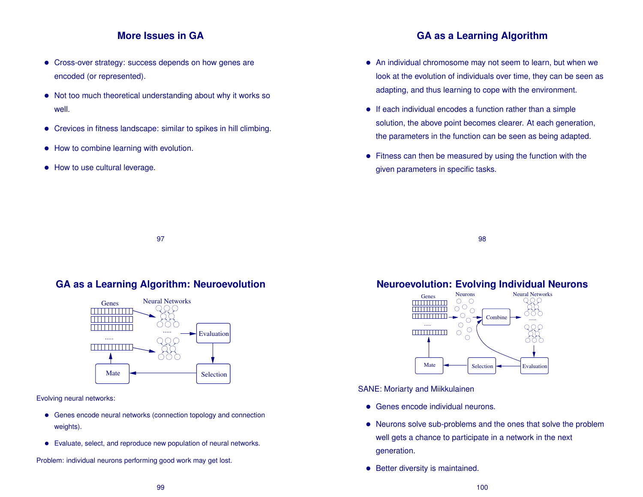#### **More Issues in GA**

- Cross-over strategy: success depends on how genes are encoded (or represented).
- Not too much theoretical understanding about why it works so well.
- Crevices in fitness landscape: similar to spikes in hill climbing.
- How to combine learning with evolution.
- How to use cultural leverage.

## **GA as a Learning Algorithm**

- An individual chromosome may not seem to learn, but when we look at the evolution of individuals over time, they can be seen as adapting, and thus learning to cope with the environment.
- If each individual encodes a function rather than a simple solution, the above point becomes clearer. At each generation, the parameters in the function can be seen as being adapted.
- Fitness can then be measured by using the function with the given parameters in specific tasks.

98

#### **GA as a Learning Algorithm: Neuroevolution**

97

![](_page_24_Figure_13.jpeg)

Evolving neural networks:

- Genes encode neural networks (connection topology and connection weights).
- Evaluate, select, and reproduce new population of neural networks.

Problem: individual neurons performing good work may get lost.

# **Neuroevolution: Evolving Individual Neurons**

![](_page_24_Figure_19.jpeg)

SANE: Moriarty and Miikkulainen

- Genes encode individual neurons.
- Neurons solve sub-problems and the ones that solve the problem well gets a chance to participate in a network in the next generation.
- Better diversity is maintained.